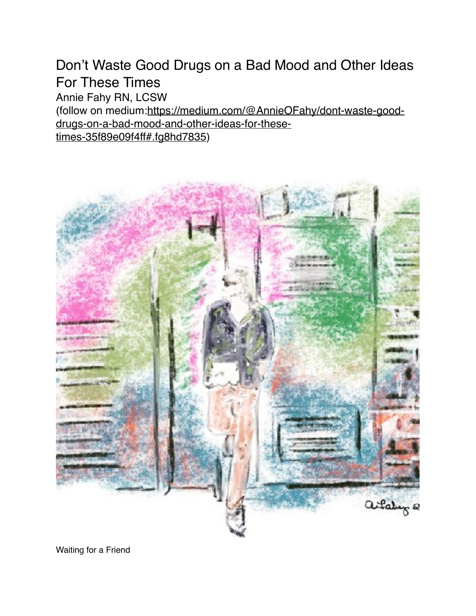Don't Waste Good Drugs on a Bad Mood and Other Ideas For These Times Annie Fahy RN, LCSW [\(follow on medium:https://medium.com/@AnnieOFahy/dont-waste-good](https://medium.com/@AnnieOFahy/dont-waste-good-drugs-on-a-bad-mood-and-other-ideas-for-these-times-35f89e09f4ff#.fg8hd7835)[drugs-on-a-bad-mood-and-other-ideas-for-these](https://medium.com/@AnnieOFahy/dont-waste-good-drugs-on-a-bad-mood-and-other-ideas-for-these-times-35f89e09f4ff#.fg8hd7835)[times-35f89e09f4ff#.fg8hd7835\)](https://medium.com/@AnnieOFahy/dont-waste-good-drugs-on-a-bad-mood-and-other-ideas-for-these-times-35f89e09f4ff#.fg8hd7835)



Waiting for a Friend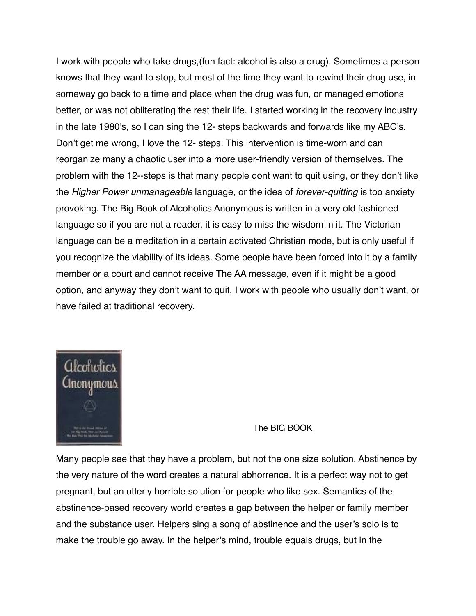I work with people who take drugs,(fun fact: alcohol is also a drug). Sometimes a person knows that they want to stop, but most of the time they want to rewind their drug use, in someway go back to a time and place when the drug was fun, or managed emotions better, or was not obliterating the rest their life. I started working in the recovery industry in the late 1980's, so I can sing the 12- steps backwards and forwards like my ABC's. Don't get me wrong, I love the 12- steps. This intervention is time-worn and can reorganize many a chaotic user into a more user-friendly version of themselves. The problem with the 12--steps is that many people dont want to quit using, or they don't like the *Higher Power unmanageable* language, or the idea of *forever-quitting* is too anxiety provoking. The Big Book of Alcoholics Anonymous is written in a very old fashioned language so if you are not a reader, it is easy to miss the wisdom in it. The Victorian language can be a meditation in a certain activated Christian mode, but is only useful if you recognize the viability of its ideas. Some people have been forced into it by a family member or a court and cannot receive The AA message, even if it might be a good option, and anyway they don't want to quit. I work with people who usually don't want, or have failed at traditional recovery.



The BIG BOOK

Many people see that they have a problem, but not the one size solution. Abstinence by the very nature of the word creates a natural abhorrence. It is a perfect way not to get pregnant, but an utterly horrible solution for people who like sex. Semantics of the abstinence-based recovery world creates a gap between the helper or family member and the substance user. Helpers sing a song of abstinence and the user's solo is to make the trouble go away. In the helper's mind, trouble equals drugs, but in the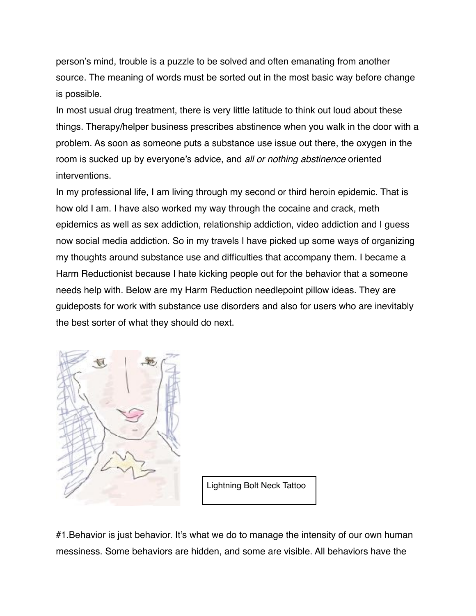person's mind, trouble is a puzzle to be solved and often emanating from another source. The meaning of words must be sorted out in the most basic way before change is possible.

In most usual drug treatment, there is very little latitude to think out loud about these things. Therapy/helper business prescribes abstinence when you walk in the door with a problem. As soon as someone puts a substance use issue out there, the oxygen in the room is sucked up by everyone's advice, and *all or nothing abstinence* oriented interventions.

In my professional life, I am living through my second or third heroin epidemic. That is how old I am. I have also worked my way through the cocaine and crack, meth epidemics as well as sex addiction, relationship addiction, video addiction and I guess now social media addiction. So in my travels I have picked up some ways of organizing my thoughts around substance use and difficulties that accompany them. I became a Harm Reductionist because I hate kicking people out for the behavior that a someone needs help with. Below are my Harm Reduction needlepoint pillow ideas. They are guideposts for work with substance use disorders and also for users who are inevitably the best sorter of what they should do next.



Lightning Bolt Neck Tattoo

#1.Behavior is just behavior. It's what we do to manage the intensity of our own human messiness. Some behaviors are hidden, and some are visible. All behaviors have the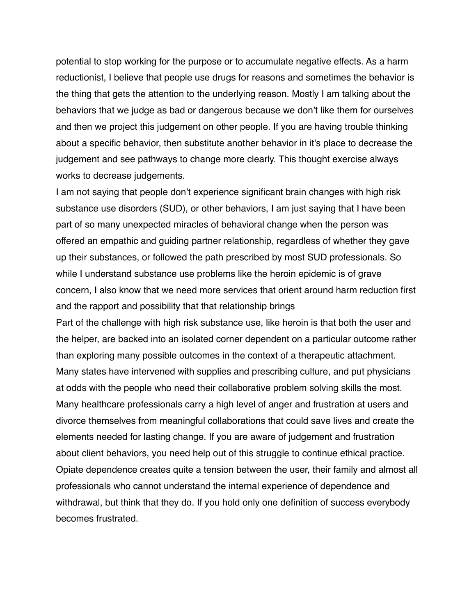potential to stop working for the purpose or to accumulate negative effects. As a harm reductionist, I believe that people use drugs for reasons and sometimes the behavior is the thing that gets the attention to the underlying reason. Mostly I am talking about the behaviors that we judge as bad or dangerous because we don't like them for ourselves and then we project this judgement on other people. If you are having trouble thinking about a specific behavior, then substitute another behavior in it's place to decrease the judgement and see pathways to change more clearly. This thought exercise always works to decrease judgements.

I am not saying that people don't experience significant brain changes with high risk substance use disorders (SUD), or other behaviors, I am just saying that I have been part of so many unexpected miracles of behavioral change when the person was offered an empathic and guiding partner relationship, regardless of whether they gave up their substances, or followed the path prescribed by most SUD professionals. So while I understand substance use problems like the heroin epidemic is of grave concern, I also know that we need more services that orient around harm reduction first and the rapport and possibility that that relationship brings

Part of the challenge with high risk substance use, like heroin is that both the user and the helper, are backed into an isolated corner dependent on a particular outcome rather than exploring many possible outcomes in the context of a therapeutic attachment. Many states have intervened with supplies and prescribing culture, and put physicians at odds with the people who need their collaborative problem solving skills the most. Many healthcare professionals carry a high level of anger and frustration at users and divorce themselves from meaningful collaborations that could save lives and create the elements needed for lasting change. If you are aware of judgement and frustration about client behaviors, you need help out of this struggle to continue ethical practice. Opiate dependence creates quite a tension between the user, their family and almost all professionals who cannot understand the internal experience of dependence and withdrawal, but think that they do. If you hold only one definition of success everybody becomes frustrated.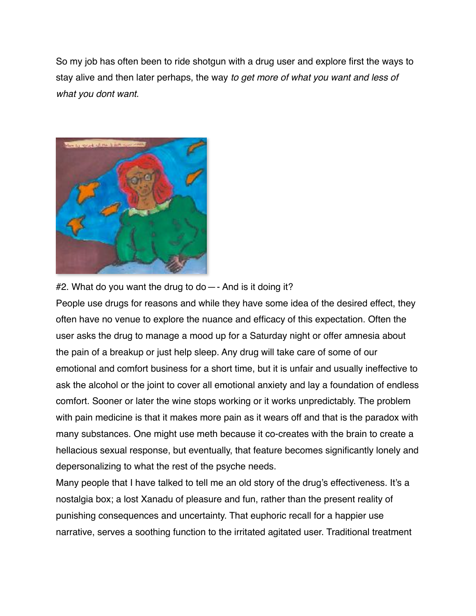So my job has often been to ride shotgun with a drug user and explore first the ways to stay alive and then later perhaps, the way *to get more of what you want and less of what you dont want.*



#2. What do you want the drug to do—- And is it doing it?

People use drugs for reasons and while they have some idea of the desired effect, they often have no venue to explore the nuance and efficacy of this expectation. Often the user asks the drug to manage a mood up for a Saturday night or offer amnesia about the pain of a breakup or just help sleep. Any drug will take care of some of our emotional and comfort business for a short time, but it is unfair and usually ineffective to ask the alcohol or the joint to cover all emotional anxiety and lay a foundation of endless comfort. Sooner or later the wine stops working or it works unpredictably. The problem with pain medicine is that it makes more pain as it wears off and that is the paradox with many substances. One might use meth because it co-creates with the brain to create a hellacious sexual response, but eventually, that feature becomes significantly lonely and depersonalizing to what the rest of the psyche needs.

Many people that I have talked to tell me an old story of the drug's effectiveness. It's a nostalgia box; a lost Xanadu of pleasure and fun, rather than the present reality of punishing consequences and uncertainty. That euphoric recall for a happier use narrative, serves a soothing function to the irritated agitated user. Traditional treatment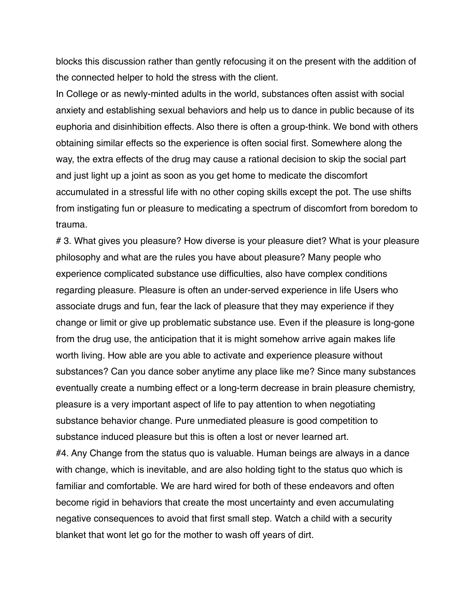blocks this discussion rather than gently refocusing it on the present with the addition of the connected helper to hold the stress with the client.

In College or as newly-minted adults in the world, substances often assist with social anxiety and establishing sexual behaviors and help us to dance in public because of its euphoria and disinhibition effects. Also there is often a group-think. We bond with others obtaining similar effects so the experience is often social first. Somewhere along the way, the extra effects of the drug may cause a rational decision to skip the social part and just light up a joint as soon as you get home to medicate the discomfort accumulated in a stressful life with no other coping skills except the pot. The use shifts from instigating fun or pleasure to medicating a spectrum of discomfort from boredom to trauma.

# 3. What gives you pleasure? How diverse is your pleasure diet? What is your pleasure philosophy and what are the rules you have about pleasure? Many people who experience complicated substance use difficulties, also have complex conditions regarding pleasure. Pleasure is often an under-served experience in life Users who associate drugs and fun, fear the lack of pleasure that they may experience if they change or limit or give up problematic substance use. Even if the pleasure is long-gone from the drug use, the anticipation that it is might somehow arrive again makes life worth living. How able are you able to activate and experience pleasure without substances? Can you dance sober anytime any place like me? Since many substances eventually create a numbing effect or a long-term decrease in brain pleasure chemistry, pleasure is a very important aspect of life to pay attention to when negotiating substance behavior change. Pure unmediated pleasure is good competition to substance induced pleasure but this is often a lost or never learned art. #4. Any Change from the status quo is valuable. Human beings are always in a dance with change, which is inevitable, and are also holding tight to the status quo which is familiar and comfortable. We are hard wired for both of these endeavors and often become rigid in behaviors that create the most uncertainty and even accumulating negative consequences to avoid that first small step. Watch a child with a security blanket that wont let go for the mother to wash off years of dirt.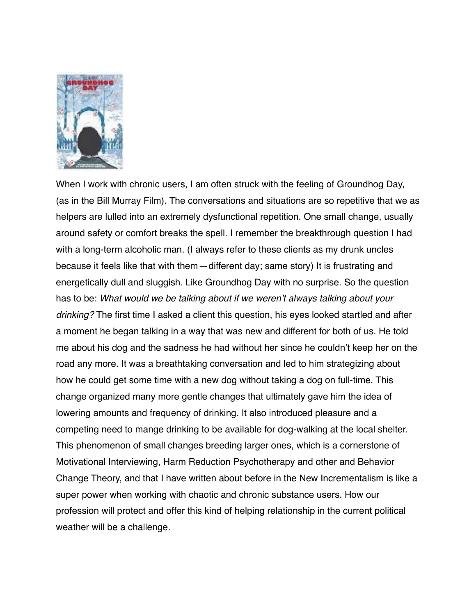

When I work with chronic users, I am often struck with the feeling of Groundhog Day, (as in the Bill Murray Film). The conversations and situations are so repetitive that we as helpers are lulled into an extremely dysfunctional repetition. One small change, usually around safety or comfort breaks the spell. I remember the breakthrough question I had with a long-term alcoholic man. (I always refer to these clients as my drunk uncles because it feels like that with them—different day; same story) It is frustrating and energetically dull and sluggish. Like Groundhog Day with no surprise. So the question has to be: *What would we be talking about if we weren't always talking about your drinking?* The first time I asked a client this question, his eyes looked startled and after a moment he began talking in a way that was new and different for both of us. He told me about his dog and the sadness he had without her since he couldn't keep her on the road any more. It was a breathtaking conversation and led to him strategizing about how he could get some time with a new dog without taking a dog on full-time. This change organized many more gentle changes that ultimately gave him the idea of lowering amounts and frequency of drinking. It also introduced pleasure and a competing need to mange drinking to be available for dog-walking at the local shelter. This phenomenon of small changes breeding larger ones, which is a cornerstone of Motivational Interviewing, Harm Reduction Psychotherapy and other and Behavior Change Theory, and that I have written about before in the New Incrementalism is like a super power when working with chaotic and chronic substance users. How our profession will protect and offer this kind of helping relationship in the current political weather will be a challenge.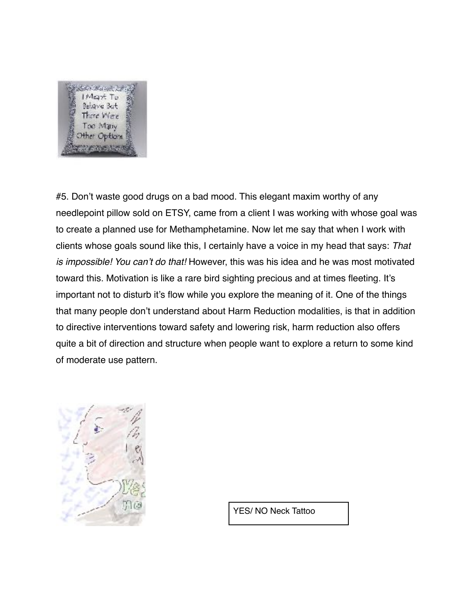

#5. Don't waste good drugs on a bad mood. This elegant maxim worthy of any needlepoint pillow sold on ETSY, came from a client I was working with whose goal was to create a planned use for Methamphetamine. Now let me say that when I work with clients whose goals sound like this, I certainly have a voice in my head that says: *That is impossible! You can't do that!* However, this was his idea and he was most motivated toward this. Motivation is like a rare bird sighting precious and at times fleeting. It's important not to disturb it's flow while you explore the meaning of it. One of the things that many people don't understand about Harm Reduction modalities, is that in addition to directive interventions toward safety and lowering risk, harm reduction also offers quite a bit of direction and structure when people want to explore a return to some kind of moderate use pattern.



YES/ NO Neck Tattoo